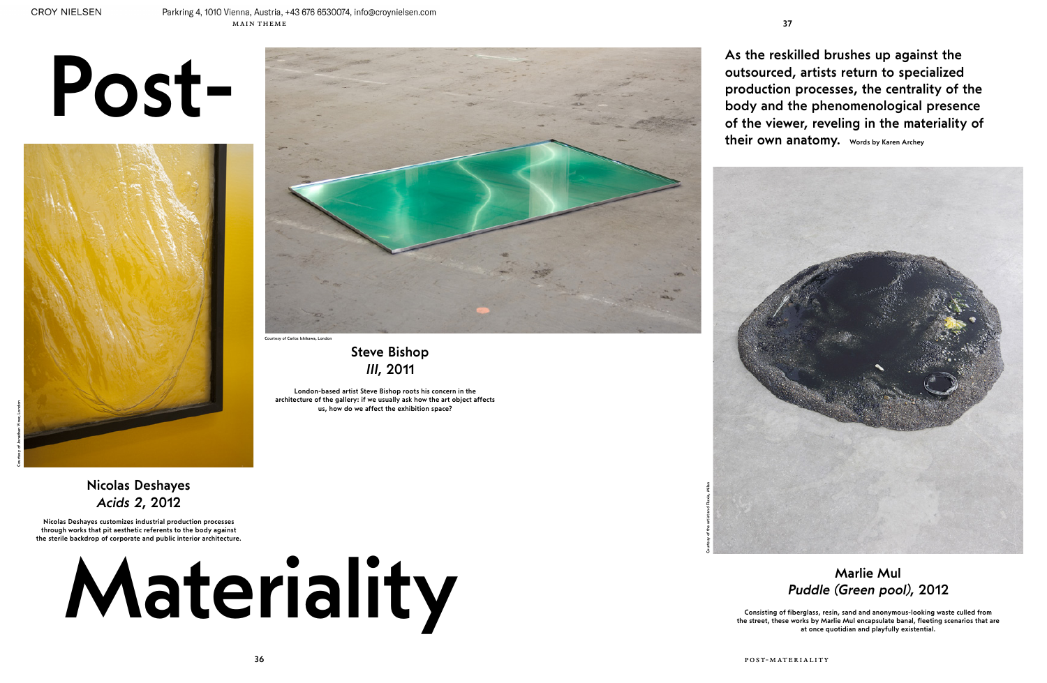







#### Steve Bishop *III*, 2011

# Marlie Mul *Puddle (Green pool)*, 2012

## Nicolas Deshayes *Acids 2*, 2012

London-based artist Steve Bishop roots his concern in the architecture of the gallery: if we usually ask how the art object affects us, how do we affect the exhibition space?

As the reskilled brushes up against the outsourced, artists return to specialized production processes, the centrality of the body and the phenomenological presence of the viewer, reveling in the materiality of their own anatomy. Words by Karen Archey



Consisting of fiberglass, resin, sand and anonymous-looking waste culled from the street, these works by Marlie Mul encapsulate banal, fleeting scenarios that are at once quotidian and playfully existential.

Nicolas Deshayes customizes industrial production processes through works that pit aesthetic referents to the body against the sterile backdrop of corporate and public interior architecture. Courtesy of Carlos Ishikawa, London

Courtesy of the artist and Fluxia, Milan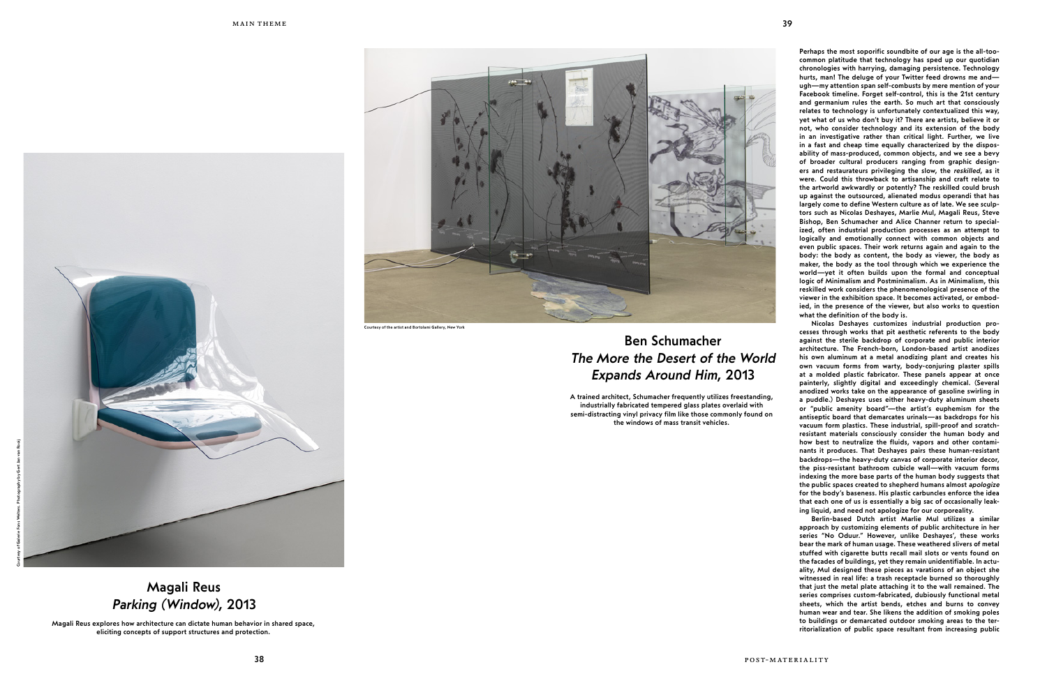Perhaps the most soporific soundbite of our age is the all-toocommon platitude that technology has sped up our quotidian chronologies with harrying, damaging persistence. Technology hurts, man! The deluge of your Twitter feed drowns me and ugh—my attention span self-combusts by mere mention of your Facebook timeline. Forget self-control, this is the 21st century and germanium rules the earth. So much art that consciously relates to technology is unfortunately contextualized this way, yet what of us who don't buy it? There are artists, believe it or not, who consider technology and its extension of the body in an investigative rather than critical light. Further, we live in a fast and cheap time equally characterized by the disposability of mass-produced, common objects, and we see a bevy of broader cultural producers ranging from graphic designers and restaurateurs privileging the slow, the *reskilled*, as it were. Could this throwback to artisanship and craft relate to the artworld awkwardly or potently? The reskilled could brush up against the outsourced, alienated modus operandi that has largely come to define Western culture as of late. We see sculptors such as Nicolas Deshayes, Marlie Mul, Magali Reus, Steve Bishop, Ben Schumacher and Alice Channer return to specialized, often industrial production processes as an attempt to logically and emotionally connect with common objects and even public spaces. Their work returns again and again to the body: the body as content, the body as viewer, the body as maker, the body as the tool through which we experience the world—yet it often builds upon the formal and conceptual logic of Minimalism and Postminimalism. As in Minimalism, this reskilled work considers the phenomenological presence of the viewer in the exhibition space. It becomes activated, or embodied, in the presence of the viewer, but also works to question what the definition of the body is.

Nicolas Deshayes customizes industrial production processes through works that pit aesthetic referents to the body against the sterile backdrop of corporate and public interior architecture. The French-born, London-based artist anodizes his own aluminum at a metal anodizing plant and creates his own vacuum forms from warty, body-conjuring plaster spills at a molded plastic fabricator. These panels appear at once painterly, slightly digital and exceedingly chemical. (Several anodized works take on the appearance of gasoline swirling in a puddle.) Deshayes uses either heavy-duty aluminum sheets or "public amenity board"—the artist's euphemism for the antiseptic board that demarcates urinals—as backdrops for his vacuum form plastics. These industrial, spill-proof and scratchresistant materials consciously consider the human body and how best to neutralize the fluids, vapors and other contaminants it produces. That Deshayes pairs these human-resistant backdrops—the heavy-duty canvas of corporate interior decor, the piss-resistant bathroom cubicle wall—with vacuum forms indexing the more base parts of the human body suggests that the public spaces created to shepherd humans almost *apologize*  for the body's baseness. His plastic carbuncles enforce the idea that each one of us is essentially a big sac of occasionally leaking liquid, and need not apologize for our corporeality.

Berlin-based Dutch artist Marlie Mul utilizes a similar approach by customizing elements of public architecture in her series "No Oduur." However, unlike Deshayes', these works bear the mark of human usage. These weathered slivers of metal stuffed with cigarette butts recall mail slots or vents found on the facades of buildings, yet they remain unidentifiable. In actuality, Mul designed these pieces as varations of an object she witnessed in real life: a trash receptacle burned so thoroughly that just the metal plate attaching it to the wall remained. The series comprises custom-fabricated, dubiously functional metal sheets, which the artist bends, etches and burns to convey human wear and tear. She likens the addition of smoking poles to buildings or demarcated outdoor smoking areas to the territorialization of public space resultant from increasing public

## Magali Reus *Parking (Window)*, 2013

#### Ben Schumacher *The More the Desert of the World Expands Around Him*, 2013

Magali Reus explores how architecture can dictate human behavior in shared space, eliciting concepts of support structures and protection.

A trained architect, Schumacher frequently utilizes freestanding, industrially fabricated tempered glass plates overlaid with semi-distracting vinyl privacy film like those commonly found on the windows of mass transit vehicles.





Courtesy of the artist and Bortolami Gallery, New York